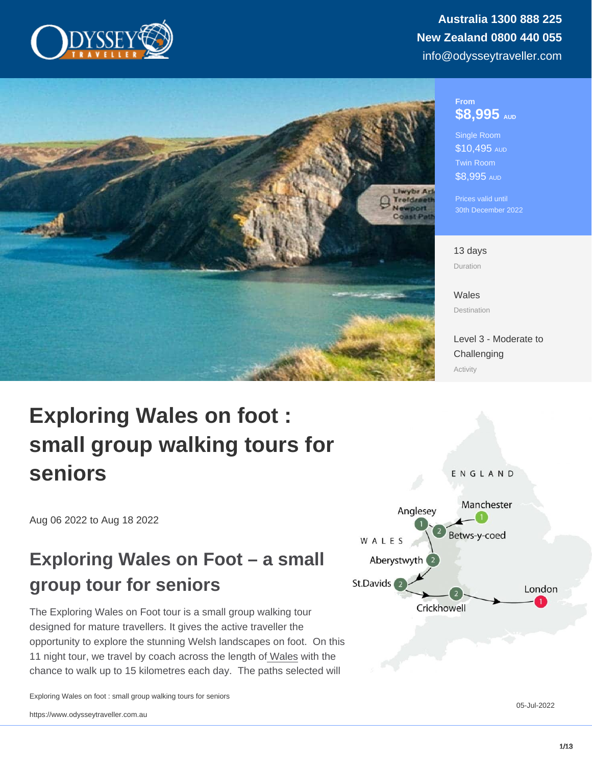#### From \$8,995 AUD

Single Room \$10,495 AUD Twin Room \$8,995 AUD

Prices valid until 30th December 2022

13 days Duration

[Wales](https://www.odysseytraveller.com/destinations/british-isles/wales/) **Destination** 

[Level 3 - Moderate to](/tour-category/activity-levels/) **[Challenging](/tour-category/activity-levels/)** Activity

# Exploring Wales on foot : small group walking tours for seniors

Aug 06 2022 to Aug 18 2022

## Exploring Wales on Foot – a small group tour for seniors

The Exploring Wales on Foot tour is a small group walking tour designed for mature travellers. It gives the active traveller the opportunity to explore the stunning Welsh landscapes on foot. On this 11 night tour, we travel by coach across the length o[f Wales](https://www.odysseytraveller.com/articles/history-of-wales/) with the chance to walk up to 15 kilometres each day. The paths selected will

Exploring Wales on foot : small group walking tours for seniors

05-Jul-2022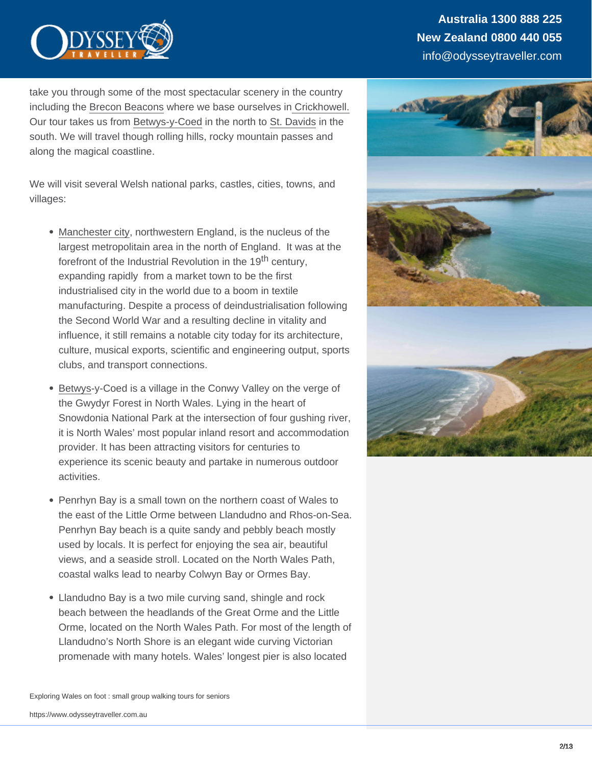take you through some of the most spectacular scenery in the country including the [Brecon Beacons](https://www.odysseytraveller.com/articles/brecon-beacons-england/) where we base ourselves in [Crickhowell.](https://www.odysseytraveller.com/articles/crickhowell-wales/) Our tour takes us from [Betwys-y-Coed](https://www.odysseytraveller.com/articles/betws-y-coed-wales-guide-for-escorted-small-group-tour/) in the north to [St. Davids](https://www.odysseytraveller.com/articles/st-davids-wales-guide-for-senior-travellers-small-group-tour/) in the south. We will travel though rolling hills, rocky mountain passes and along the magical coastline.

We will visit several Welsh national parks, castles, cities, towns, and villages:

- [Manchester city](https://www.odysseytraveller.com/articles/manchesters-early-history/), northwestern England, is the nucleus of the largest metropolitain area in the north of England. It was at the forefront of the Industrial Revolution in the 19<sup>th</sup> century, expanding rapidly from a market town to be the first industrialised city in the world due to a boom in textile manufacturing. Despite a process of deindustrialisation following the Second World War and a resulting decline in vitality and influence, it still remains a notable city today for its architecture, culture, musical exports, scientific and engineering output, sports clubs, and transport connections.
- [Betwys](https://www.odysseytraveller.com/articles/betws-y-coed-wales-guide-for-escorted-small-group-tour/)-y-Coed is a village in the Conwy Valley on the verge of the Gwydyr Forest in North Wales. Lying in the heart of Snowdonia National Park at the intersection of four gushing river, it is North Wales' most popular inland resort and accommodation provider. It has been attracting visitors for centuries to experience its scenic beauty and partake in numerous outdoor activities.
- Penrhyn Bay is a small town on the northern coast of Wales to the east of the Little Orme between Llandudno and Rhos-on-Sea. Penrhyn Bay beach is a quite sandy and pebbly beach mostly used by locals. It is perfect for enjoying the sea air, beautiful views, and a seaside stroll. Located on the North Wales Path, coastal walks lead to nearby Colwyn Bay or Ormes Bay.
- Llandudno Bay is a two mile curving sand, shingle and rock beach between the headlands of the Great Orme and the Little Orme, located on the North Wales Path. For most of the length of Llandudno's North Shore is an elegant wide curving Victorian promenade with many hotels. Wales' longest pier is also located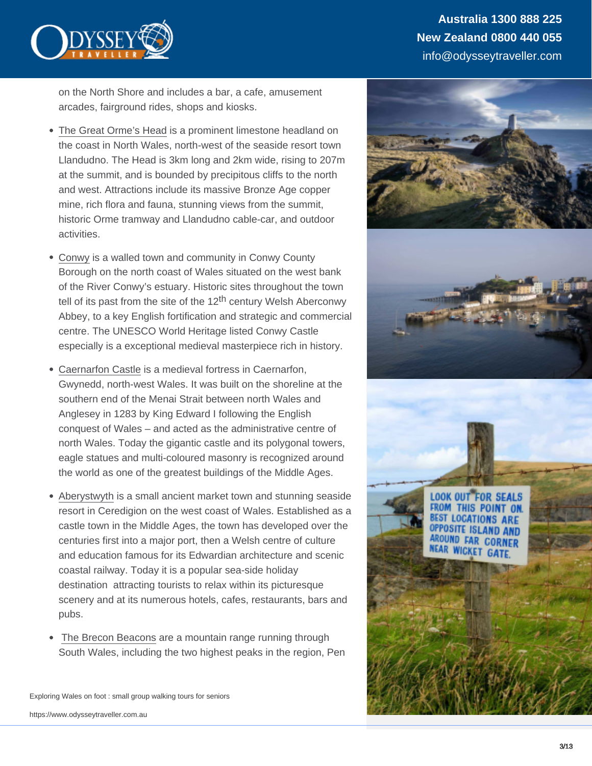on the North Shore and includes a bar, a cafe, amusement arcades, fairground rides, shops and kiosks.

- [The Great Orme's Head](https://www.odysseytraveller.com/articles/great-ormes-head-wales-guide-for-escorted-small-group-tour/) is a prominent limestone headland on the coast in North Wales, north-west of the seaside resort town Llandudno. The Head is 3km long and 2km wide, rising to 207m at the summit, and is bounded by precipitous cliffs to the north and west. Attractions include its massive Bronze Age copper mine, rich flora and fauna, stunning views from the summit, historic Orme tramway and Llandudno cable-car, and outdoor activities.
- [Conwy](https://www.odysseytraveller.com/articles/conwy-wales-guide-for-escorted-small-group-tours/) is a walled town and community in Conwy County Borough on the north coast of Wales situated on the west bank of the River Conwy's estuary. Historic sites throughout the town tell of its past from the site of the  $12<sup>th</sup>$  century Welsh Aberconwy Abbey, to a key English fortification and strategic and commercial centre. The UNESCO World Heritage listed Conwy Castle especially is a exceptional medieval masterpiece rich in history.
- [Caernarfon Castle](https://www.odysseytraveller.com/articles/caernarfon-castle-wales/) is a medieval fortress in Caernarfon, Gwynedd, north-west Wales. It was built on the shoreline at the southern end of the Menai Strait between north Wales and Anglesey in 1283 by King Edward I following the English conquest of Wales – and acted as the administrative centre of north Wales. Today the gigantic castle and its polygonal towers, eagle statues and multi-coloured masonry is recognized around the world as one of the greatest buildings of the Middle Ages.
- [Aberystwyth](https://www.odysseytraveller.com/articles/aberystwyth-wales-guide-for-escorted-small-group-tours/) is a small ancient market town and stunning seaside  $\bullet$ resort in Ceredigion on the west coast of Wales. Established as a castle town in the Middle Ages, the town has developed over the centuries first into a major port, then a Welsh centre of culture and education famous for its Edwardian architecture and scenic coastal railway. Today it is a popular sea-side holiday destination attracting tourists to relax within its picturesque scenery and at its numerous hotels, cafes, restaurants, bars and pubs.
- [The Brecon Beacons](https://www.odysseytraveller.com/articles/brecon-beacons-england/) are a mountain range running through  $\bullet$ South Wales, including the two highest peaks in the region, Pen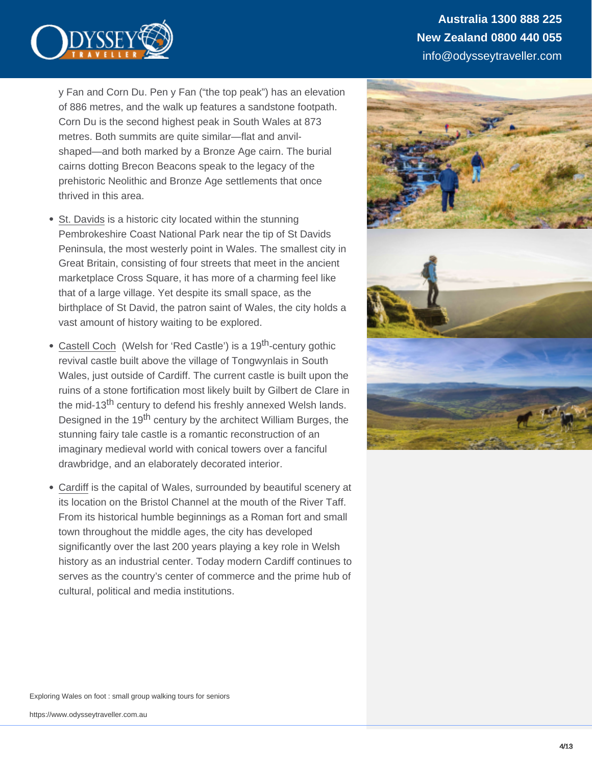y Fan and Corn Du. Pen y Fan ("the top peak") has an elevation of 886 metres, and the walk up features a sandstone footpath. Corn Du is the second highest peak in South Wales at 873 metres. Both summits are quite similar—flat and anvilshaped—and both marked by a Bronze Age cairn. The burial cairns dotting Brecon Beacons speak to the legacy of the prehistoric Neolithic and Bronze Age settlements that once thrived in this area.

- [St. Davids](https://www.odysseytraveller.com/articles/st-davids-wales-guide-for-senior-travellers-small-group-tour/) is a historic city located within the stunning Pembrokeshire Coast National Park near the tip of St Davids Peninsula, the most westerly point in Wales. The smallest city in Great Britain, consisting of four streets that meet in the ancient marketplace Cross Square, it has more of a charming feel like that of a large village. Yet despite its small space, as the birthplace of St David, the patron saint of Wales, the city holds a vast amount of history waiting to be explored.
- [Castell Coch](https://www.odysseytraveller.com/articles/castell-coch-wales-guide-for-escorted-small-group-tours/) (Welsh for 'Red Castle') is a 19th-century gothic  $\bullet$ revival castle built above the village of Tongwynlais in South Wales, just outside of Cardiff. The current castle is built upon the ruins of a stone fortification most likely built by Gilbert de Clare in the mid-13<sup>th</sup> century to defend his freshly annexed Welsh lands. Designed in the 19<sup>th</sup> century by the architect William Burges, the stunning fairy tale castle is a romantic reconstruction of an imaginary medieval world with conical towers over a fanciful drawbridge, and an elaborately decorated interior.
- [Cardiff](https://www.odysseytraveller.com/articles/cardiff-wales-guide-for-senior-travellers-small-group-tour/) is the capital of Wales, surrounded by beautiful scenery at  $\bullet$ its location on the Bristol Channel at the mouth of the River Taff. From its historical humble beginnings as a Roman fort and small town throughout the middle ages, the city has developed significantly over the last 200 years playing a key role in Welsh history as an industrial center. Today modern Cardiff continues to serves as the country's center of commerce and the prime hub of cultural, political and media institutions.

Exploring Wales on foot : small group walking tours for seniors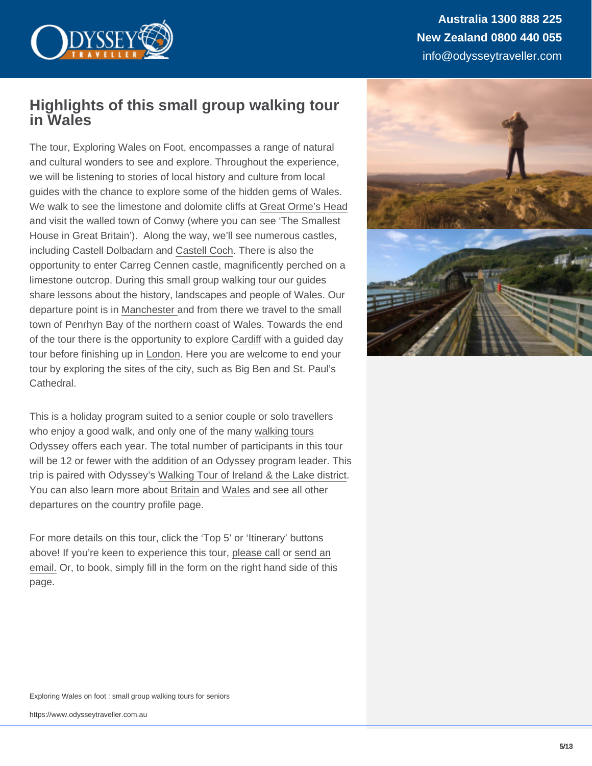Australia 1300 888 225 New Zealand 0800 440 055 info@odysseytraveller.com

### Highlights of this small group walking tour in Wales

The tour, Exploring Wales on Foot, encompasses a range of natural and cultural wonders to see and explore. Throughout the experience, we will be listening to stories of local history and culture from local guides with the chance to explore some of the hidden gems of Wales. We walk to see the limestone and dolomite cliffs at [Great Orme's Head](https://www.odysseytraveller.com/articles/great-ormes-head-wales-guide-for-escorted-small-group-tour/) and visit the walled town of [Conwy](https://www.odysseytraveller.com/articles/conwy-wales-guide-for-escorted-small-group-tours/) (where you can see 'The Smallest House in Great Britain'). Along the way, we'll see numerous castles, including Castell Dolbadarn and [Castell Coch](https://www.odysseytraveller.com/articles/castell-coch-wales-guide-for-escorted-small-group-tours/). There is also the opportunity to enter Carreg Cennen castle, magnificently perched on a limestone outcrop. During this small group walking tour our guides share lessons about the history, landscapes and people of Wales. Our departure point is in [Manchester a](https://www.odysseytraveller.com/articles/manchesters-early-history/)nd from there we travel to the small town of Penrhyn Bay of the northern coast of Wales. Towards the end of the tour there is the opportunity to explore [Cardiff](https://www.odysseytraveller.com/articles/cardiff-wales-guide-for-senior-travellers-small-group-tour/) with a guided day tour before finishing up in [London](https://www.odysseytraveller.com/articles/ten-things-i-never-knew-about-london/). Here you are welcome to end your tour by exploring the sites of the city, such as Big Ben and St. Paul's Cathedral.

This is a holiday program suited to a senior couple or solo travellers who enjoy a good walk, and only one of the many [walking tours](https://www.odysseytraveller.com/tour-category/hiking-walking/) Odyssey offers each year. The total number of participants in this tour will be 12 or fewer with the addition of an Odyssey program leader. This trip is paired with Odyssey's [Walking Tour of Ireland & the Lake district.](https://www.odysseytraveller.com/tours-small-groups/ireland-and-lake-district-walking-small-group-tour/) You can also learn more about [Britain](https://www.odysseytraveller.com/destinations/british-isles/) and [Wales](https://www.odysseytraveller.com/destinations/british-isles/wales/) and see all other departures on the country profile page.

For more details on this tour, click the 'Top 5' or 'Itinerary' buttons above! If you're keen to experience this tour, [please call](https://www.odysseytraveller.com/contact-us/) or [send an](mailto:info@odysseytravel.com.au) [email.](mailto:info@odysseytravel.com.au) Or, to book, simply fill in the form on the right hand side of this page.

Exploring Wales on foot : small group walking tours for seniors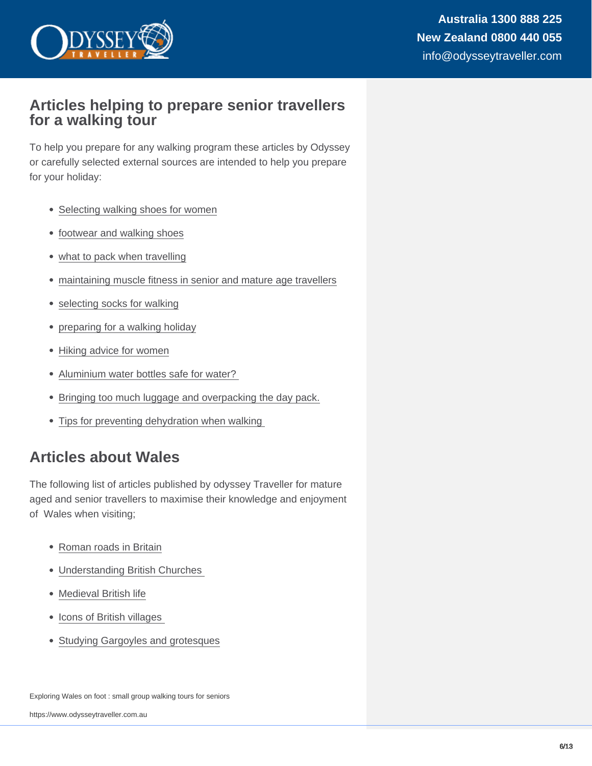## Articles helping to prepare senior travellers for a walking tour

To help you prepare for any walking program these articles by Odyssey or carefully selected external sources are intended to help you prepare for your holiday:

- [Selecting walking shoes for women](https://www.odysseytraveller.com/articles/womens-walking-shoes/)
- [footwear and walking shoes](https://www.odysseytraveller.com/articles/travellers-footwear-clothing-tips/)
- [what to pack when travelling](https://www.odysseytraveller.com/articles/mature-travelers-packing-advice-for-small-group-escorted-learning-tours/)
- [maintaining muscle fitness in senior and mature age travellers](https://www.odysseytraveller.com/articles/tips-to-counter-age-related-muscle-loss/)
- [selecting socks for walking](https://www.odysseytraveller.com/articles/selecting-shoes-and-socks/)
- [preparing for a walking holiday](https://www.odysseytraveller.com/articles/preparing-walking-holiday-tour-tips-long-walk/)
- [Hiking advice for women](https://www.hiking-for-her.com/hikinghygieneforwomen.html)
- [Aluminium water bottles safe for water?](https://goaskalice.columbia.edu/answered-questions/aluminum-water-bottles-—-safe-lemon-water)
- [Bringing too much luggage and overpacking the day pack.](https://thetrek.co/beginner-mistakes-backpacking-hiking/)
- Tips for preventing dehydration when walking

## Articles about Wales

The following list of articles published by odyssey Traveller for mature aged and senior travellers to maximise their knowledge and enjoyment of Wales when visiting;

- [Roman roads in Britain](https://www.odysseytraveller.com/articles/roman-roads-britain/)
- [Understanding British Churches](https://www.odysseytraveller.com/articles/understanding-british-churches/)
- [Medieval British life](https://www.odysseytraveller.com/articles/medieval-british-village-life/)
- Icons of British villages
- [Studying Gargoyles and grotesques](https://www.odysseytraveller.com/articles/studying-gargoyles-grotesques/)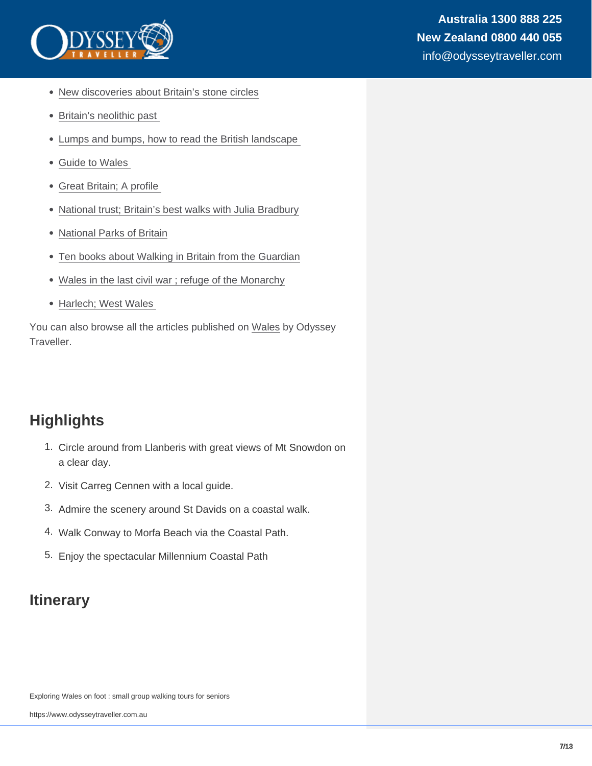- [New discoveries about Britain's stone circles](https://www.odysseytraveller.com/articles/new-discoveries-britains-stone-circles/)
- Britain's neolithic past
- [Lumps and bumps, how to read the British landscape](https://www.odysseytraveller.com/articles/read-british-landscape/)
- [Guide to Wales](https://www.odysseytraveller.com/articles/history-of-wales/)
- [Great Britain; A profile](https://www.odysseytraveller.com/articles/great-britain-travel-tips-for-seniors/)
- [National trust; Britain's best walks with Julia Bradbury](https://www.nationaltrust.org.uk/features/britains-best-walks-with-julia-bradbury)
- [National Parks of Britain](https://nationalparks.uk/about-us)
- [Ten books about Walking in Britain from the Guardian](https://www.theguardian.com/books/2019/jul/03/top-10-books-about-walking-in-britain-gail-simmons)
- [Wales in the last civil war ; refuge of the Monarchy](https://www.historyextra.com/period/stuart/wales-in-the-civil-war-the-last-refuge-of-monarchy/)
- Harlech; West Wales

You can also browse all the articles published on [Wales](https://www.odysseytraveller.com/british-isles/wales/) by Odyssey Traveller.

## **Highlights**

- 1. Circle around from Llanberis with great views of Mt Snowdon on a clear day.
- 2. Visit Carreg Cennen with a local guide.
- 3. Admire the scenery around St Davids on a coastal walk.
- 4. Walk Conway to Morfa Beach via the Coastal Path.
- 5. Enjoy the spectacular Millennium Coastal Path

## **Itinerary**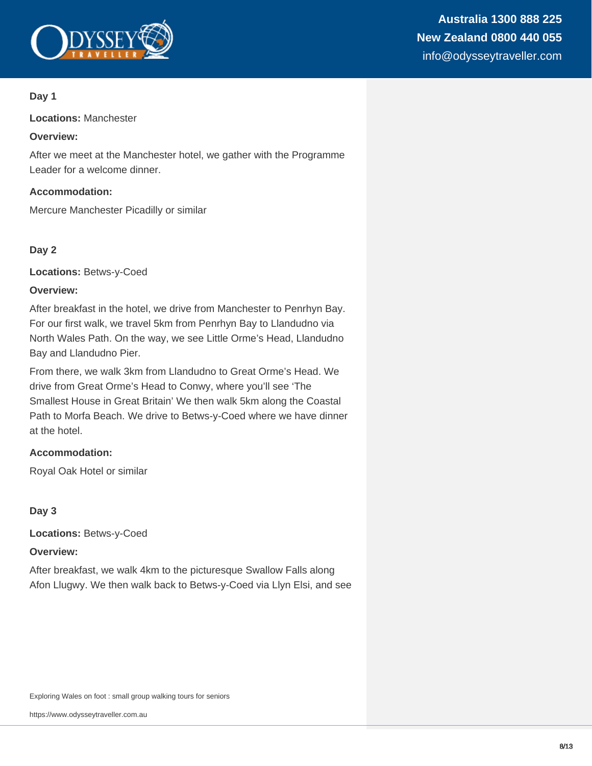

#### **Day 1**

**Locations:** Manchester

#### **Overview:**

After we meet at the Manchester hotel, we gather with the Programme Leader for a welcome dinner.

#### **Accommodation:**

Mercure Manchester Picadilly or similar

#### **Day 2**

**Locations:** Betws-y-Coed

#### **Overview:**

After breakfast in the hotel, we drive from Manchester to Penrhyn Bay. For our first walk, we travel 5km from Penrhyn Bay to Llandudno via North Wales Path. On the way, we see Little Orme's Head, Llandudno Bay and Llandudno Pier.

From there, we walk 3km from Llandudno to Great Orme's Head. We drive from Great Orme's Head to Conwy, where you'll see 'The Smallest House in Great Britain' We then walk 5km along the Coastal Path to Morfa Beach. We drive to Betws-y-Coed where we have dinner at the hotel.

#### **Accommodation:**

Royal Oak Hotel or similar

#### **Day 3**

**Locations:** Betws-y-Coed

#### **Overview:**

After breakfast, we walk 4km to the picturesque Swallow Falls along Afon Llugwy. We then walk back to Betws-y-Coed via Llyn Elsi, and see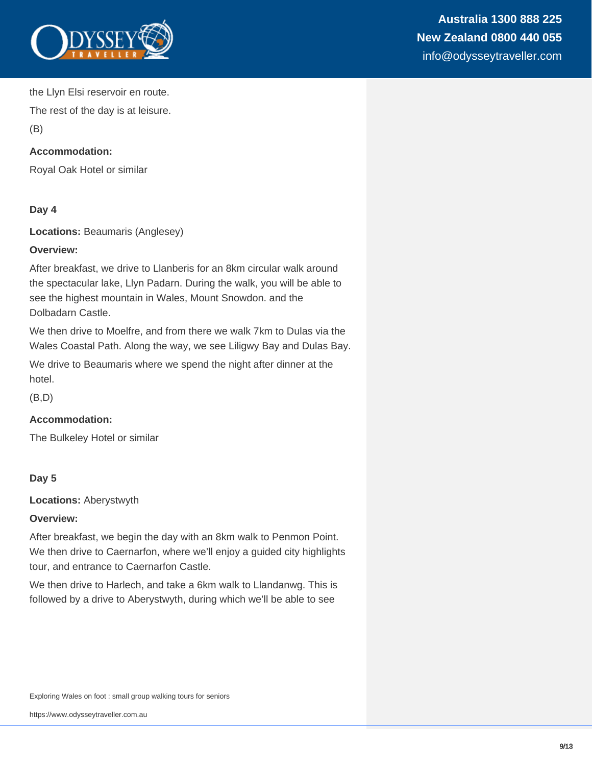

the Llyn Elsi reservoir en route.

The rest of the day is at leisure.

(B)

#### **Accommodation:**

Royal Oak Hotel or similar

#### **Day 4**

**Locations:** Beaumaris (Anglesey)

#### **Overview:**

After breakfast, we drive to Llanberis for an 8km circular walk around the spectacular lake, Llyn Padarn. During the walk, you will be able to see the highest mountain in Wales, Mount Snowdon. and the Dolbadarn Castle.

We then drive to Moelfre, and from there we walk 7km to Dulas via the Wales Coastal Path. Along the way, we see Liligwy Bay and Dulas Bay.

We drive to Beaumaris where we spend the night after dinner at the hotel.

(B,D)

#### **Accommodation:**

The Bulkeley Hotel or similar

#### **Day 5**

**Locations:** Aberystwyth

#### **Overview:**

After breakfast, we begin the day with an 8km walk to Penmon Point. We then drive to Caernarfon, where we'll enjoy a guided city highlights tour, and entrance to Caernarfon Castle.

We then drive to Harlech, and take a 6km walk to Llandanwg. This is followed by a drive to Aberystwyth, during which we'll be able to see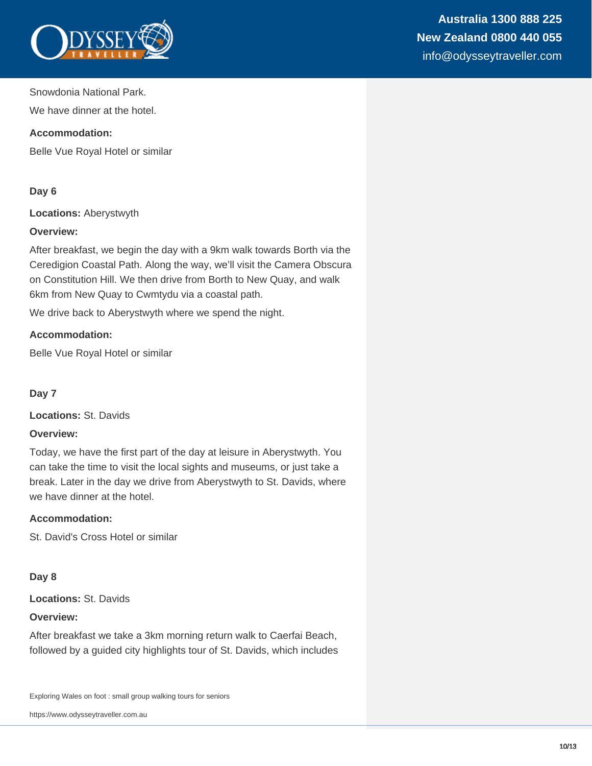

Snowdonia National Park.

We have dinner at the hotel.

#### **Accommodation:**

Belle Vue Royal Hotel or similar

#### **Day 6**

**Locations:** Aberystwyth

#### **Overview:**

After breakfast, we begin the day with a 9km walk towards Borth via the Ceredigion Coastal Path. Along the way, we'll visit the Camera Obscura on Constitution Hill. We then drive from Borth to New Quay, and walk 6km from New Quay to Cwmtydu via a coastal path.

We drive back to Aberystwyth where we spend the night.

#### **Accommodation:**

Belle Vue Royal Hotel or similar

#### **Day 7**

**Locations:** St. Davids

#### **Overview:**

Today, we have the first part of the day at leisure in Aberystwyth. You can take the time to visit the local sights and museums, or just take a break. Later in the day we drive from Aberystwyth to St. Davids, where we have dinner at the hotel.

#### **Accommodation:**

St. David's Cross Hotel or similar

#### **Day 8**

**Locations:** St. Davids

#### **Overview:**

After breakfast we take a 3km morning return walk to Caerfai Beach, followed by a guided city highlights tour of St. Davids, which includes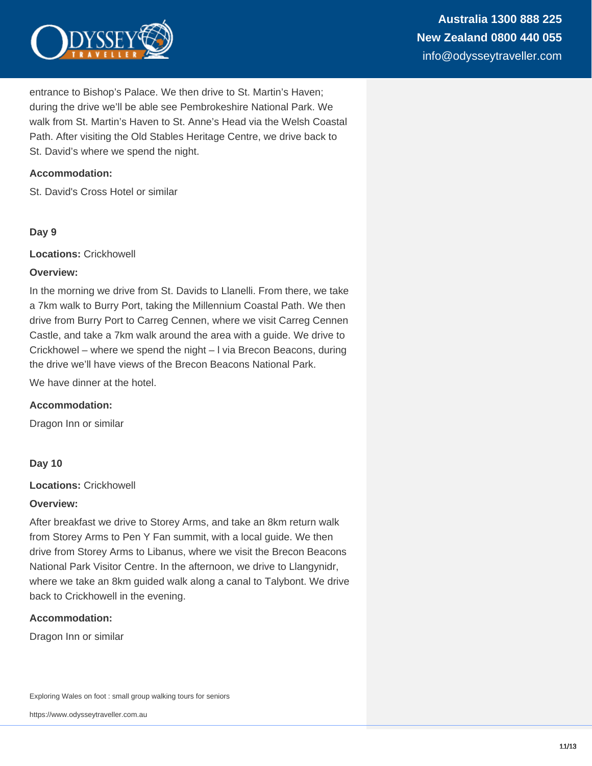

entrance to Bishop's Palace. We then drive to St. Martin's Haven; during the drive we'll be able see Pembrokeshire National Park. We walk from St. Martin's Haven to St. Anne's Head via the Welsh Coastal Path. After visiting the Old Stables Heritage Centre, we drive back to St. David's where we spend the night.

#### **Accommodation:**

St. David's Cross Hotel or similar

#### **Day 9**

**Locations:** Crickhowell

#### **Overview:**

In the morning we drive from St. Davids to Llanelli. From there, we take a 7km walk to Burry Port, taking the Millennium Coastal Path. We then drive from Burry Port to Carreg Cennen, where we visit Carreg Cennen Castle, and take a 7km walk around the area with a guide. We drive to Crickhowel – where we spend the night – l via Brecon Beacons, during the drive we'll have views of the Brecon Beacons National Park.

We have dinner at the hotel.

#### **Accommodation:**

Dragon Inn or similar

#### **Day 10**

**Locations:** Crickhowell

#### **Overview:**

After breakfast we drive to Storey Arms, and take an 8km return walk from Storey Arms to Pen Y Fan summit, with a local guide. We then drive from Storey Arms to Libanus, where we visit the Brecon Beacons National Park Visitor Centre. In the afternoon, we drive to Llangynidr, where we take an 8km guided walk along a canal to Talybont. We drive back to Crickhowell in the evening.

#### **Accommodation:**

Dragon Inn or similar

Exploring Wales on foot : small group walking tours for seniors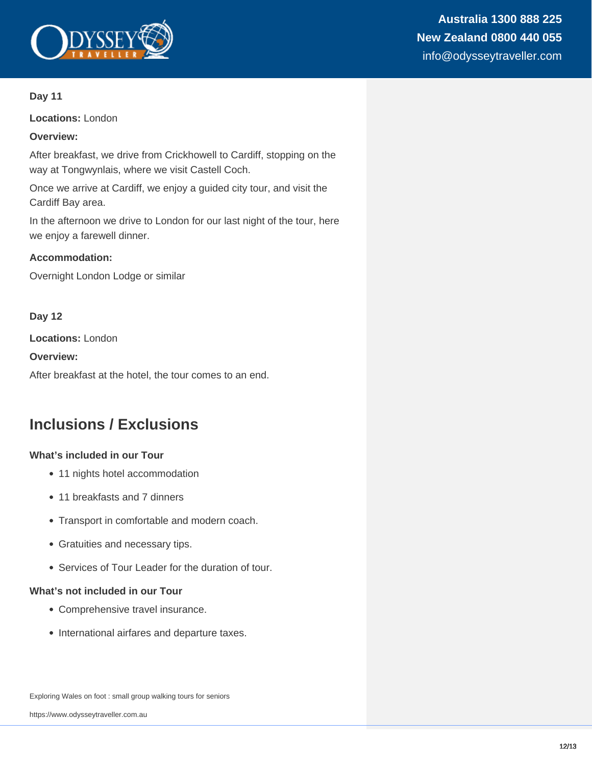

#### **Day 11**

**Locations:** London

#### **Overview:**

After breakfast, we drive from Crickhowell to Cardiff, stopping on the way at Tongwynlais, where we visit Castell Coch.

Once we arrive at Cardiff, we enjoy a guided city tour, and visit the Cardiff Bay area.

In the afternoon we drive to London for our last night of the tour, here we enjoy a farewell dinner.

#### **Accommodation:**

Overnight London Lodge or similar

#### **Day 12**

**Locations:** London

**Overview:**

After breakfast at the hotel, the tour comes to an end.

## **Inclusions / Exclusions**

#### **What's included in our Tour**

- 11 nights hotel accommodation
- 11 breakfasts and 7 dinners
- Transport in comfortable and modern coach.
- Gratuities and necessary tips.
- Services of Tour Leader for the duration of tour.

#### **What's not included in our Tour**

- Comprehensive travel insurance.
- International airfares and departure taxes.

Exploring Wales on foot : small group walking tours for seniors